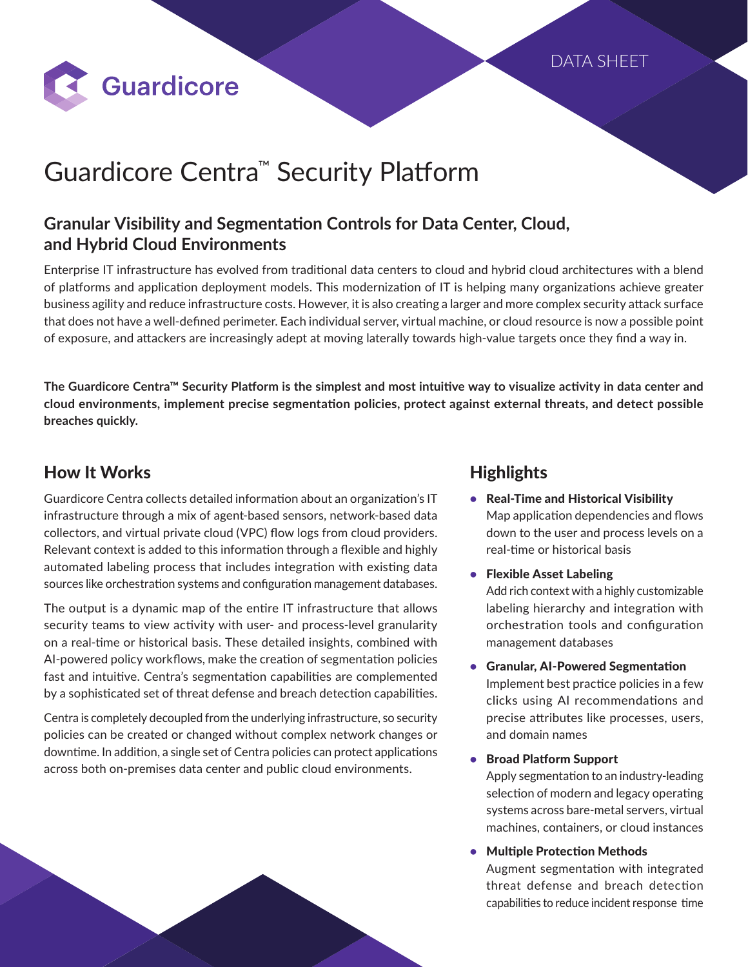

# Guardicore Centra™ Security Platform

## **Granular Visibility and Segmentation Controls for Data Center, Cloud, and Hybrid Cloud Environments**

Enterprise IT infrastructure has evolved from traditional data centers to cloud and hybrid cloud architectures with a blend of platforms and application deployment models. This modernization of IT is helping many organizations achieve greater business agility and reduce infrastructure costs. However, it is also creating a larger and more complex security attack surface that does not have a well-defined perimeter. Each individual server, virtual machine, or cloud resource is now a possible point of exposure, and attackers are increasingly adept at moving laterally towards high-value targets once they find a way in.

**The Guardicore Centra™ Security Platform is the simplest and most intuitive way to visualize activity in data center and cloud environments, implement precise segmentation policies, protect against external threats, and detect possible breaches quickly.**

## How It Works

Guardicore Centra collects detailed information about an organization's IT infrastructure through a mix of agent-based sensors, network-based data collectors, and virtual private cloud (VPC) flow logs from cloud providers. Relevant context is added to this information through a flexible and highly automated labeling process that includes integration with existing data sources like orchestration systems and configuration management databases.

The output is a dynamic map of the entire IT infrastructure that allows security teams to view activity with user- and process-level granularity on a real-time or historical basis. These detailed insights, combined with AI-powered policy workflows, make the creation of segmentation policies fast and intuitive. Centra's segmentation capabilities are complemented by a sophisticated set of threat defense and breach detection capabilities.

Centra is completely decoupled from the underlying infrastructure, so security policies can be created or changed without complex network changes or downtime. In addition, a single set of Centra policies can protect applications across both on-premises data center and public cloud environments.

## **Highlights**

- Real-Time and Historical Visibility Map application dependencies and flows down to the user and process levels on a real-time or historical basis
- Flexible Asset Labeling Add rich context with a highly customizable labeling hierarchy and integration with orchestration tools and configuration management databases
- Granular, AI-Powered Segmentation Implement best practice policies in a few clicks using AI recommendations and precise attributes like processes, users, and domain names
- Broad Platform Support

Apply segmentation to an industry-leading selection of modern and legacy operating systems across bare-metal servers, virtual machines, containers, or cloud instances

• Multiple Protection Methods

Augment segmentation with integrated threat defense and breach detection capabilities to reduce incident response time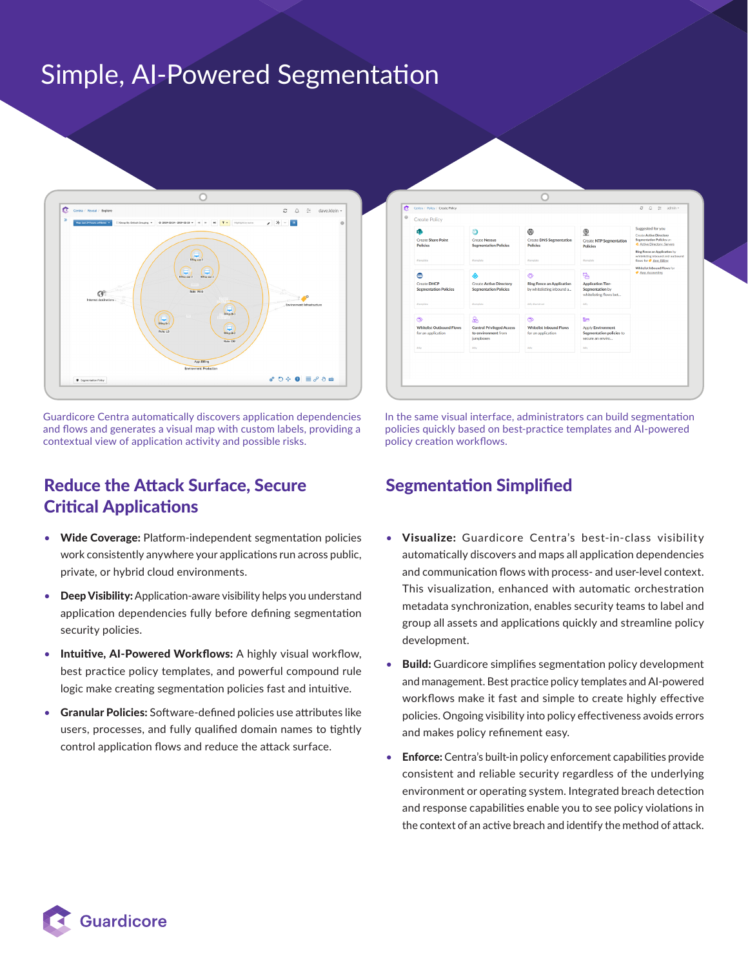# Simple, AI-Powered Segmentation



Guardicore Centra automatically discovers application dependencies and flows and generates a visual map with custom labels, providing a contextual view of application activity and possible risks.

## Reduce the Attack Surface, Secure Critical Applications

- Wide Coverage: Platform-independent segmentation policies work consistently anywhere your applications run across public, private, or hybrid cloud environments.
- **Deep Visibility:** Application-aware visibility helps you understand application dependencies fully before defining segmentation security policies.
- Intuitive, AI-Powered Workflows: A highly visual workflow, best practice policy templates, and powerful compound rule logic make creating segmentation policies fast and intuitive.
- Granular Policies: Software-defined policies use attributes like users, processes, and fully qualified domain names to tightly control application flows and reduce the attack surface.



In the same visual interface, administrators can build segmentation policies quickly based on best-practice templates and AI-powered policy creation workflows.

## Segmentation Simplified

- Visualize: Guardicore Centra's best-in-class visibility automatically discovers and maps all application dependencies and communication flows with process- and user-level context. This visualization, enhanced with automatic orchestration metadata synchronization, enables security teams to label and group all assets and applications quickly and streamline policy development.
- **Build:** Guardicore simplifies segmentation policy development and management. Best practice policy templates and AI-powered workflows make it fast and simple to create highly effective policies. Ongoing visibility into policy effectiveness avoids errors and makes policy refinement easy.
- **Enforce:** Centra's built-in policy enforcement capabilities provide consistent and reliable security regardless of the underlying environment or operating system. Integrated breach detection and response capabilities enable you to see policy violations in the context of an active breach and identify the method of attack.

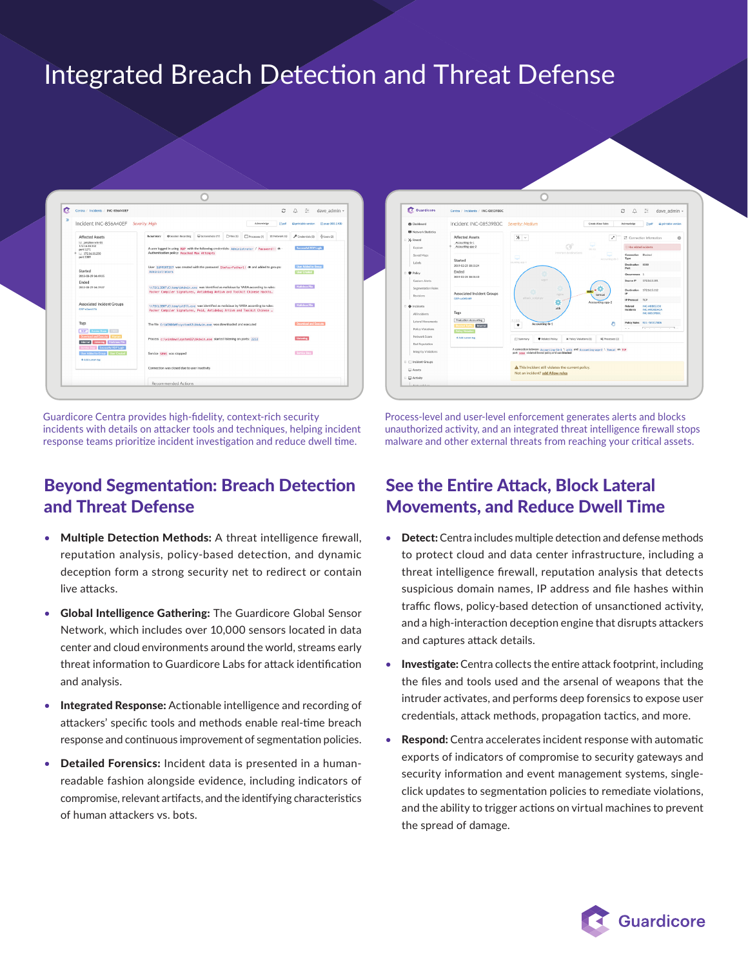# Integrated Breach Detection and Threat Defense



Guardicore Centra provides high-fidelity, context-rich security incidents with details on attacker tools and techniques, helping incident response teams prioritize incident investigation and reduce dwell time.

## Beyond Segmentation: Breach Detection and Threat Defense

- Multiple Detection Methods: A threat intelligence firewall, reputation analysis, policy-based detection, and dynamic deception form a strong security net to redirect or contain live attacks.
- Global Intelligence Gathering: The Guardicore Global Sensor Network, which includes over 10,000 sensors located in data center and cloud environments around the world, streams early threat information to Guardicore Labs for attack identification and analysis.
- Integrated Response: Actionable intelligence and recording of attackers' specific tools and methods enable real-time breach response and continuous improvement of segmentation policies.
- Detailed Forensics: Incident data is presented in a humanreadable fashion alongside evidence, including indicators of compromise, relevant artifacts, and the identifying characteristics of human attackers vs. bots.



Process-level and user-level enforcement generates alerts and blocks unauthorized activity, and an integrated threat intelligence firewall stops malware and other external threats from reaching your critical assets.

## See the Entire Attack, Block Lateral Movements, and Reduce Dwell Time

- Detect: Centra includes multiple detection and defense methods to protect cloud and data center infrastructure, including a threat intelligence firewall, reputation analysis that detects suspicious domain names, IP address and file hashes within traffic flows, policy-based detection of unsanctioned activity, and a high-interaction deception engine that disrupts attackers and captures attack details.
- Investigate: Centra collects the entire attack footprint, including the files and tools used and the arsenal of weapons that the intruder activates, and performs deep forensics to expose user credentials, attack methods, propagation tactics, and more.
- Respond: Centra accelerates incident response with automatic exports of indicators of compromise to security gateways and security information and event management systems, singleclick updates to segmentation policies to remediate violations, and the ability to trigger actions on virtual machines to prevent the spread of damage.